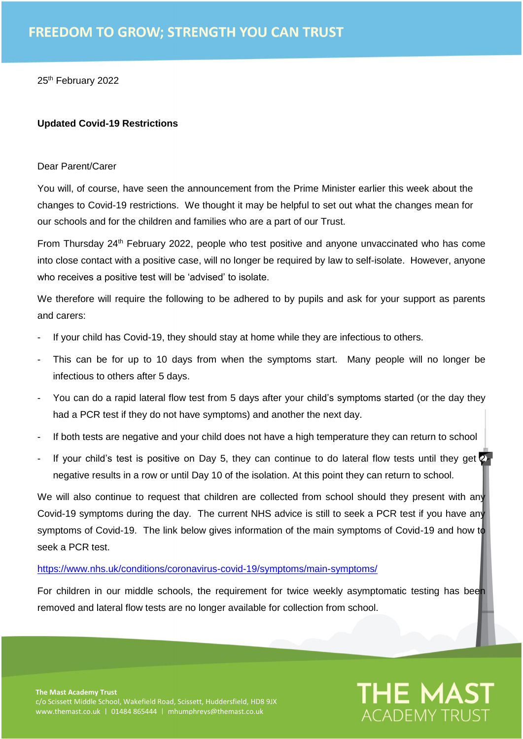25<sup>th</sup> February 2022

## **Updated Covid-19 Restrictions**

## Dear Parent/Carer

You will, of course, have seen the announcement from the Prime Minister earlier this week about the changes to Covid-19 restrictions. We thought it may be helpful to set out what the changes mean for our schools and for the children and families who are a part of our Trust.

From Thursday 24<sup>th</sup> February 2022, people who test positive and anyone unvaccinated who has come into close contact with a positive case, will no longer be required by law to self-isolate. However, anyone who receives a positive test will be 'advised' to isolate.

We therefore will require the following to be adhered to by pupils and ask for your support as parents and carers:

- If your child has Covid-19, they should stay at home while they are infectious to others.
- This can be for up to 10 days from when the symptoms start. Many people will no longer be infectious to others after 5 days.
- You can do a rapid lateral flow test from 5 days after your child's symptoms started (or the day they had a PCR test if they do not have symptoms) and another the next day.
- If both tests are negative and your child does not have a high temperature they can return to school
- If your child's test is positive on Day 5, they can continue to do lateral flow tests until they get  $2<sub>1</sub>$ negative results in a row or until Day 10 of the isolation. At this point they can return to school.

We will also continue to request that children are collected from school should they present with any Covid-19 symptoms during the day. The current NHS advice is still to seek a PCR test if you have any symptoms of Covid-19. The link below gives information of the main symptoms of Covid-19 and how to seek a PCR test.

## <https://www.nhs.uk/conditions/coronavirus-covid-19/symptoms/main-symptoms/>

For children in our middle schools, the requirement for twice weekly asymptomatic testing has been removed and lateral flow tests are no longer available for collection from school.

**THE MAST** 

ACADEMY TRI